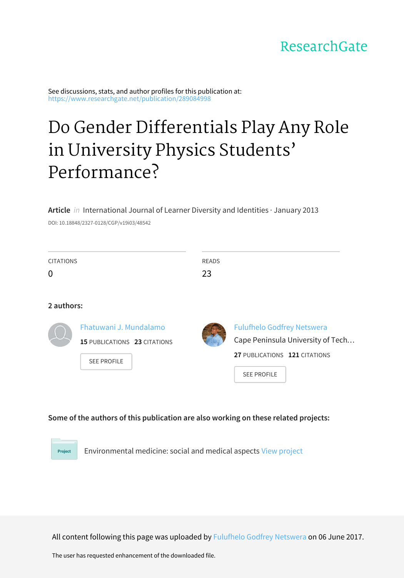# ResearchGate

See discussions, stats, and author profiles for this publication at: [https://www.researchgate.net/publication/289084998](https://www.researchgate.net/publication/289084998_Do_Gender_Differentials_Play_Any_Role_in_University_Physics_Students%27_Performance?enrichId=rgreq-8c63ea88654ad5a47a57afe461302dfd-XXX&enrichSource=Y292ZXJQYWdlOzI4OTA4NDk5ODtBUzo1MDIyNTIwOTU5MzAzNjhAMTQ5Njc1NzYzOTIxMA%3D%3D&el=1_x_2&_esc=publicationCoverPdf)

# Do Gender Differentials Play Any Role in University Physics Students' [Performance?](https://www.researchgate.net/publication/289084998_Do_Gender_Differentials_Play_Any_Role_in_University_Physics_Students%27_Performance?enrichId=rgreq-8c63ea88654ad5a47a57afe461302dfd-XXX&enrichSource=Y292ZXJQYWdlOzI4OTA4NDk5ODtBUzo1MDIyNTIwOTU5MzAzNjhAMTQ5Njc1NzYzOTIxMA%3D%3D&el=1_x_3&_esc=publicationCoverPdf)

**Article** in International Journal of Learner Diversity and Identities · January 2013

DOI: 10.18848/2327-0128/CGP/v19i03/48542

| <b>CITATIONS</b><br>0 |                                                                              | <b>READS</b><br>23 |                                                                                                                               |
|-----------------------|------------------------------------------------------------------------------|--------------------|-------------------------------------------------------------------------------------------------------------------------------|
| 2 authors:            |                                                                              |                    |                                                                                                                               |
|                       | Fhatuwani J. Mundalamo<br>15 PUBLICATIONS 23 CITATIONS<br><b>SEE PROFILE</b> |                    | <b>Fulufhelo Godfrey Netswera</b><br>Cape Peninsula University of Tech<br>27 PUBLICATIONS 121 CITATIONS<br><b>SEE PROFILE</b> |

#### **Some of the authors of this publication are also working on these related projects:**

Environmental medicine: social and medical aspects View [project](https://www.researchgate.net/project/Environmental-medicine-social-and-medical-aspects?enrichId=rgreq-8c63ea88654ad5a47a57afe461302dfd-XXX&enrichSource=Y292ZXJQYWdlOzI4OTA4NDk5ODtBUzo1MDIyNTIwOTU5MzAzNjhAMTQ5Njc1NzYzOTIxMA%3D%3D&el=1_x_9&_esc=publicationCoverPdf) Project

All content following this page was uploaded by Fulufhelo Godfrey [Netswera](https://www.researchgate.net/profile/Fulufhelo_Netswera?enrichId=rgreq-8c63ea88654ad5a47a57afe461302dfd-XXX&enrichSource=Y292ZXJQYWdlOzI4OTA4NDk5ODtBUzo1MDIyNTIwOTU5MzAzNjhAMTQ5Njc1NzYzOTIxMA%3D%3D&el=1_x_10&_esc=publicationCoverPdf) on 06 June 2017.

The user has requested enhancement of the downloaded file.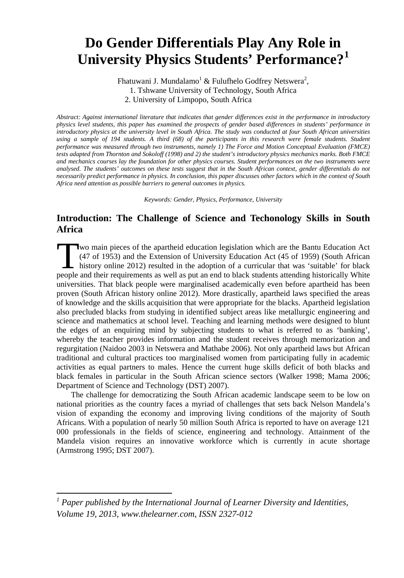# **Do Gender Differentials Play Any Role in University Physics Students' Performance?[1](#page-1-0)**

Fhatuwani J. Mundalamo $^1$  & Fulufhelo Godfrey Netswera $^2$ , 1. Tshwane University of Technology, South Africa 2. University of Limpopo, South Africa

*Abstract: Against international literature that indicates that gender differences exist in the performance in introductory physics level students, this paper has examined the prospects of gender based differences in students' performance in introductory physics at the university level in South Africa. The study was conducted at four South African universities using a sample of 194 students. A third (68) of the participants in this research were female students. Student performance was measured through two instruments, namely 1) The Force and Motion Conceptual Evaluation (FMCE) tests adapted from Thornton and Sokoloff (1998) and 2) the student's introductory physics mechanics marks. Both FMCE and mechanics courses lay the foundation for other physics courses. Student performances on the two instruments were analysed. The students' outcomes on these tests suggest that in the South African context, gender differentials do not necessarily predict performance in physics. In conclusion, this paper discusses other factors which in the context of South Africa need attention as possible barriers to general outcomes in physics.*

*Keywords: Gender, Physics, Performance, University*

# **Introduction: The Challenge of Science and Techonology Skills in South Africa**

wo main pieces of the apartheid education legislation which are the Bantu Education Act (47 of 1953) and the Extension of University Education Act (45 of 1959) (South African history online 2012) resulted in the adoption of a curricular that was 'suitable' for black I wo main pieces of the apartheid education legislation which are the Bantu Education Act (47 of 1953) and the Extension of University Education Act (45 of 1959) (South African history online 2012) resulted in the adoption universities. That black people were marginalised academically even before apartheid has been proven (South African history online 2012). More drastically, apartheid laws specified the areas of knowledge and the skills acquisition that were appropriate for the blacks. Apartheid legislation also precluded blacks from studying in identified subject areas like metallurgic engineering and science and mathematics at school level. Teaching and learning methods were designed to blunt the edges of an enquiring mind by subjecting students to what is referred to as 'banking', whereby the teacher provides information and the student receives through memorization and regurgitation (Naidoo 2003 in Netswera and Mathabe 2006). Not only apartheid laws but African traditional and cultural practices too marginalised women from participating fully in academic activities as equal partners to males. Hence the current huge skills deficit of both blacks and black females in particular in the South African science sectors (Walker 1998; Mama 2006; Department of Science and Technology (DST) 2007).

The challenge for democratizing the South African academic landscape seem to be low on national priorities as the country faces a myriad of challenges that sets back Nelson Mandela's vision of expanding the economy and improving living conditions of the majority of South Africans. With a population of nearly 50 million South Africa is reported to have on average 121 000 professionals in the fields of science, engineering and technology. Attainment of the Mandela vision requires an innovative workforce which is currently in acute shortage (Armstrong 1995; DST 2007).

<span id="page-1-0"></span>*<sup>1</sup> Paper published by the International Journal of Learner Diversity and Identities, Volume 19, 2013, www.thelearner.com, ISSN 2327-012*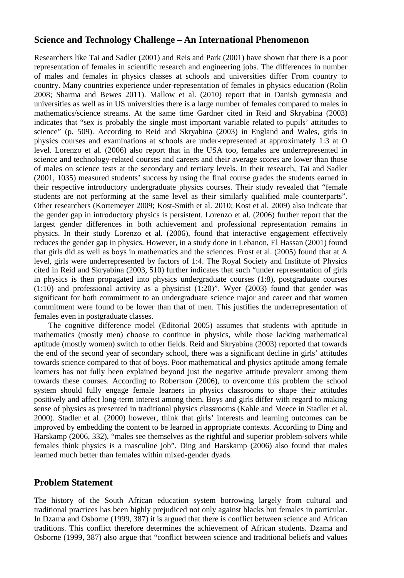### **Science and Technology Challenge – An International Phenomenon**

Researchers like Tai and Sadler (2001) and Reis and Park (2001) have shown that there is a poor representation of females in scientific research and engineering jobs. The differences in number of males and females in physics classes at schools and universities differ From country to country. Many countries experience under-representation of females in physics education (Rolin 2008; Sharma and Bewes 2011). Mallow et al. (2010) report that in Danish gymnasia and universities as well as in US universities there is a large number of females compared to males in mathematics/science streams. At the same time Gardner cited in Reid and Skryabina (2003) indicates that "sex is probably the single most important variable related to pupils' attitudes to science" (p. 509). According to Reid and Skryabina (2003) in England and Wales, girls in physics courses and examinations at schools are under-represented at approximately 1:3 at O level. Lorenzo et al. (2006) also report that in the USA too, females are underrepresented in science and technology-related courses and careers and their average scores are lower than those of males on science tests at the secondary and tertiary levels. In their research, Tai and Sadler (2001, 1035) measured students' success by using the final course grades the students earned in their respective introductory undergraduate physics courses. Their study revealed that "female students are not performing at the same level as their similarly qualified male counterparts". Other researchers (Kortemeyer 2009; Kost-Smith et al. 2010; Kost et al. 2009) also indicate that the gender gap in introductory physics is persistent. Lorenzo et al. (2006) further report that the largest gender differences in both achievement and professional representation remains in physics. In their study Lorenzo et al. (2006), found that interactive engagement effectively reduces the gender gap in physics. However, in a study done in Lebanon, El Hassan (2001) found that girls did as well as boys in mathematics and the sciences. Frost et al. (2005) found that at A level, girls were underrepresented by factors of 1:4. The Royal Society and Institute of Physics cited in Reid and Skryabina (2003, 510) further indicates that such "under representation of girls in physics is then propagated into physics undergraduate courses (1:8), postgraduate courses (1:10) and professional activity as a physicist (1:20)". Wyer (2003) found that gender was significant for both commitment to an undergraduate science major and career and that women commitment were found to be lower than that of men. This justifies the underrepresentation of females even in postgraduate classes.

The cognitive difference model (Editorial 2005) assumes that students with aptitude in mathematics (mostly men) choose to continue in physics, while those lacking mathematical aptitude (mostly women) switch to other fields. Reid and Skryabina (2003) reported that towards the end of the second year of secondary school, there was a significant decline in girls' attitudes towards science compared to that of boys. Poor mathematical and physics aptitude among female learners has not fully been explained beyond just the negative attitude prevalent among them towards these courses. According to Robertson (2006), to overcome this problem the school system should fully engage female learners in physics classrooms to shape their attitudes positively and affect long-term interest among them. Boys and girls differ with regard to making sense of physics as presented in traditional physics classrooms (Kahle and Meece in Stadler et al. 2000). Stadler et al. (2000) however, think that girls' interests and learning outcomes can be improved by embedding the content to be learned in appropriate contexts. According to Ding and Harskamp (2006, 332), "males see themselves as the rightful and superior problem-solvers while females think physics is a masculine job". Ding and Harskamp (2006) also found that males learned much better than females within mixed-gender dyads.

#### **Problem Statement**

The history of the South African education system borrowing largely from cultural and traditional practices has been highly prejudiced not only against blacks but females in particular. In Dzama and Osborne (1999, 387) it is argued that there is conflict between science and African traditions. This conflict therefore determines the achievement of African students. Dzama and Osborne (1999, 387) also argue that "conflict between science and traditional beliefs and values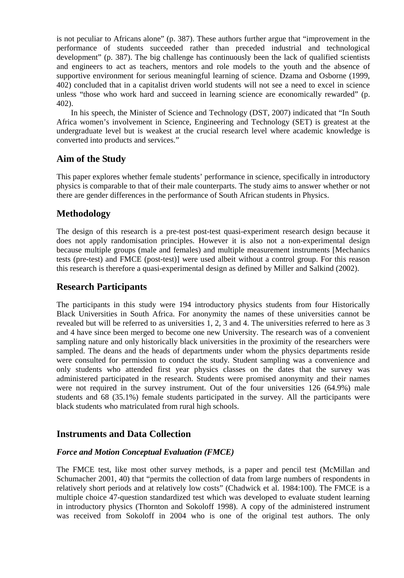is not peculiar to Africans alone" (p. 387). These authors further argue that "improvement in the performance of students succeeded rather than preceded industrial and technological development" (p. 387). The big challenge has continuously been the lack of qualified scientists and engineers to act as teachers, mentors and role models to the youth and the absence of supportive environment for serious meaningful learning of science. Dzama and Osborne (1999, 402) concluded that in a capitalist driven world students will not see a need to excel in science unless "those who work hard and succeed in learning science are economically rewarded" (p. 402).

In his speech, the Minister of Science and Technology (DST, 2007) indicated that "In South Africa women's involvement in Science, Engineering and Technology (SET) is greatest at the undergraduate level but is weakest at the crucial research level where academic knowledge is converted into products and services."

#### **Aim of the Study**

This paper explores whether female students' performance in science, specifically in introductory physics is comparable to that of their male counterparts. The study aims to answer whether or not there are gender differences in the performance of South African students in Physics.

# **Methodology**

The design of this research is a pre-test post-test quasi-experiment research design because it does not apply randomisation principles. However it is also not a non-experimental design because multiple groups (male and females) and multiple measurement instruments [Mechanics tests (pre-test) and FMCE (post-test)] were used albeit without a control group. For this reason this research is therefore a quasi-experimental design as defined by Miller and Salkind (2002).

### **Research Participants**

The participants in this study were 194 introductory physics students from four Historically Black Universities in South Africa. For anonymity the names of these universities cannot be revealed but will be referred to as universities 1, 2, 3 and 4. The universities referred to here as 3 and 4 have since been merged to become one new University. The research was of a convenient sampling nature and only historically black universities in the proximity of the researchers were sampled. The deans and the heads of departments under whom the physics departments reside were consulted for permission to conduct the study. Student sampling was a convenience and only students who attended first year physics classes on the dates that the survey was administered participated in the research. Students were promised anonymity and their names were not required in the survey instrument. Out of the four universities 126 (64.9%) male students and 68 (35.1%) female students participated in the survey. All the participants were black students who matriculated from rural high schools.

## **Instruments and Data Collection**

#### *Force and Motion Conceptual Evaluation (FMCE)*

The FMCE test, like most other survey methods, is a paper and pencil test (McMillan and Schumacher 2001, 40) that "permits the collection of data from large numbers of respondents in relatively short periods and at relatively low costs" (Chadwick et al. 1984:100). The FMCE is a multiple choice 47-question standardized test which was developed to evaluate student learning in introductory physics (Thornton and Sokoloff 1998). A copy of the administered instrument was received from Sokoloff in 2004 who is one of the original test authors. The only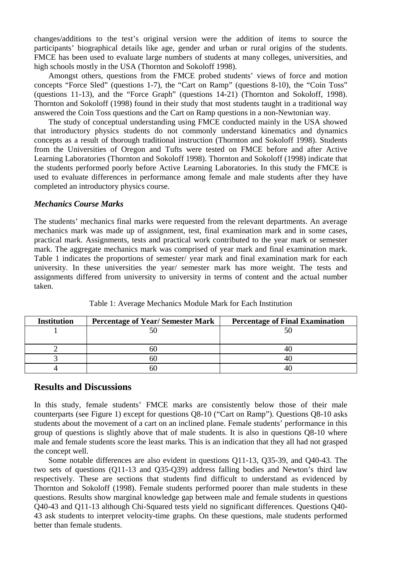changes/additions to the test's original version were the addition of items to source the participants' biographical details like age, gender and urban or rural origins of the students. FMCE has been used to evaluate large numbers of students at many colleges, universities, and high schools mostly in the USA (Thornton and Sokoloff 1998).

Amongst others, questions from the FMCE probed students' views of force and motion concepts "Force Sled" (questions 1-7), the "Cart on Ramp" (questions 8-10), the "Coin Toss" (questions 11-13), and the "Force Graph" (questions 14-21) (Thornton and Sokoloff, 1998). Thornton and Sokoloff (1998) found in their study that most students taught in a traditional way answered the Coin Toss questions and the Cart on Ramp questions in a non-Newtonian way.

The study of conceptual understanding using FMCE conducted mainly in the USA showed that introductory physics students do not commonly understand kinematics and dynamics concepts as a result of thorough traditional instruction (Thornton and Sokoloff 1998). Students from the Universities of Oregon and Tufts were tested on FMCE before and after Active Learning Laboratories (Thornton and Sokoloff 1998). Thornton and Sokoloff (1998) indicate that the students performed poorly before Active Learning Laboratories. In this study the FMCE is used to evaluate differences in performance among female and male students after they have completed an introductory physics course.

#### *Mechanics Course Marks*

The students' mechanics final marks were requested from the relevant departments. An average mechanics mark was made up of assignment, test, final examination mark and in some cases, practical mark. Assignments, tests and practical work contributed to the year mark or semester mark. The aggregate mechanics mark was comprised of year mark and final examination mark. Table 1 indicates the proportions of semester/ year mark and final examination mark for each university. In these universities the year/ semester mark has more weight. The tests and assignments differed from university to university in terms of content and the actual number taken.

| <b>Institution</b> | <b>Percentage of Year/ Semester Mark</b> | <b>Percentage of Final Examination</b> |
|--------------------|------------------------------------------|----------------------------------------|
|                    |                                          |                                        |
|                    |                                          |                                        |
|                    | nu                                       |                                        |
|                    | bU.                                      |                                        |
|                    | bU.                                      |                                        |

Table 1: Average Mechanics Module Mark for Each Institution

#### **Results and Discussions**

In this study, female students' FMCE marks are consistently below those of their male counterparts (see Figure 1) except for questions Q8-10 ("Cart on Ramp"). Questions Q8-10 asks students about the movement of a cart on an inclined plane. Female students' performance in this group of questions is slightly above that of male students. It is also in questions Q8-10 where male and female students score the least marks. This is an indication that they all had not grasped the concept well.

Some notable differences are also evident in questions Q11-13, Q35-39, and Q40-43. The two sets of questions (Q11-13 and Q35-Q39) address falling bodies and Newton's third law respectively. These are sections that students find difficult to understand as evidenced by Thornton and Sokoloff (1998). Female students performed poorer than male students in these questions. Results show marginal knowledge gap between male and female students in questions Q40-43 and Q11-13 although Chi-Squared tests yield no significant differences. Questions Q40- 43 ask students to interpret velocity-time graphs. On these questions, male students performed better than female students.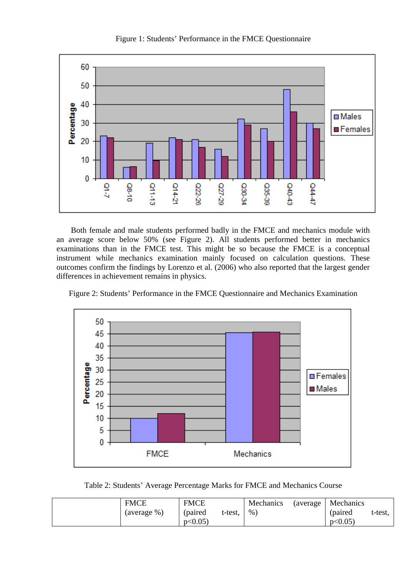

Figure 1: Students' Performance in the FMCE Questionnaire

Both female and male students performed badly in the FMCE and mechanics module with an average score below 50% (see Figure 2). All students performed better in mechanics examinations than in the FMCE test. This might be so because the FMCE is a conceptual instrument while mechanics examination mainly focused on calculation questions. These outcomes confirm the findings by Lorenzo et al. (2006) who also reported that the largest gender differences in achievement remains in physics.



Figure 2: Students' Performance in the FMCE Questionnaire and Mechanics Examination

Table 2: Students' Average Percentage Marks for FMCE and Mechanics Course

| <b>FMCE</b> | <b>FMCE</b> |         | Mechanics | (average) | Mechanics |         |
|-------------|-------------|---------|-----------|-----------|-----------|---------|
| (average %) | (paired     | t-test. | $\%$      |           | (paired)  | t-test, |
|             | p<0.05      |         |           |           | p<0.05    |         |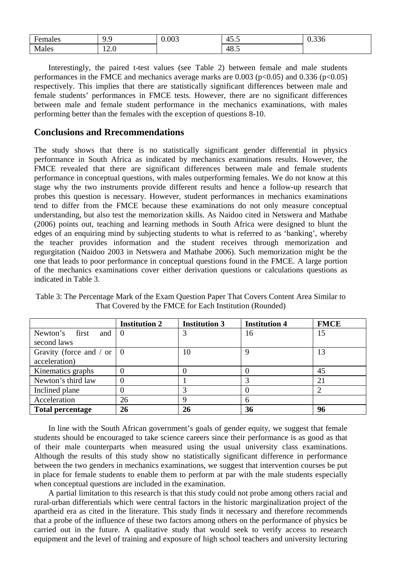| ┳<br>Females | $\sim$<br>∼<br>∼<br>. | 0.003 | . .<br>-<br>⊤.್ು | $\sim$<br><u>v.jju</u> |
|--------------|-----------------------|-------|------------------|------------------------|
| Males        | $1 - 0$               |       | 10<br>-<br>48.J  |                        |

Interestingly, the paired t-test values (see Table 2) between female and male students performances in the FMCE and mechanics average marks are  $0.003$  ( $p<0.05$ ) and  $0.336$  ( $p<0.05$ ) respectively. This implies that there are statistically significant differences between male and female students' performances in FMCE tests. However, there are no significant differences between male and female student performance in the mechanics examinations, with males performing better than the females with the exception of questions 8-10.

#### **Conclusions and Rrecommendations**

The study shows that there is no statistically significant gender differential in physics performance in South Africa as indicated by mechanics examinations results. However, the FMCE revealed that there are significant differences between male and female students performance in conceptual questions, with males outperforming females. We do not know at this stage why the two instruments provide different results and hence a follow-up research that probes this question is necessary. However, student performances in mechanics examinations tend to differ from the FMCE because these examinations do not only measure conceptual understanding, but also test the memorization skills. As Naidoo cited in Netswera and Mathabe (2006) points out, teaching and learning methods in South Africa were designed to blunt the edges of an enquiring mind by subjecting students to what is referred to as 'banking', whereby the teacher provides information and the student receives through memorization and regurgitation (Naidoo 2003 in Netswera and Mathabe 2006). Such memorization might be the one that leads to poor performance in conceptual questions found in the FMCE. A large portion of the mechanics examinations cover either derivation questions or calculations questions as indicated in Table 3.

|                                   | <b>Institution 2</b> | <b>Institution 3</b> | <b>Institution 4</b> | <b>FMCE</b> |
|-----------------------------------|----------------------|----------------------|----------------------|-------------|
| Newton's first<br>and 1           | l 0                  | 3                    | 16                   | 15          |
| second laws                       |                      |                      |                      |             |
| Gravity (force and / or $\vert$ 0 |                      | 10                   | 9                    | 13          |
| acceleration)                     |                      |                      |                      |             |
| Kinematics graphs                 | 0                    | U                    |                      | 45          |
| Newton's third law                |                      |                      |                      | 21          |
| Inclined plane                    |                      |                      |                      |             |
| Acceleration                      | 26                   | 9                    | 6                    |             |
| <b>Total percentage</b>           | 26                   | 26                   | 36                   | 96          |

Table 3: The Percentage Mark of the Exam Question Paper That Covers Content Area Similar to That Covered by the FMCE for Each Institution (Rounded)

In line with the South African government's goals of gender equity, we suggest that female students should be encouraged to take science careers since their performance is as good as that of their male counterparts when measured using the usual university class examinations. Although the results of this study show no statistically significant difference in performance between the two genders in mechanics examinations, we suggest that intervention courses be put in place for female students to enable them to perform at par with the male students especially when conceptual questions are included in the examination.

A partial limitation to this research is that this study could not probe among others racial and rural-urban differentials which were central factors in the historic marginalization project of the apartheid era as cited in the literature. This study finds it necessary and therefore recommends that a probe of the influence of these two factors among others on the performance of physics be carried out in the future. A qualitative study that would seek to verify access to research equipment and the level of training and exposure of high school teachers and university lecturing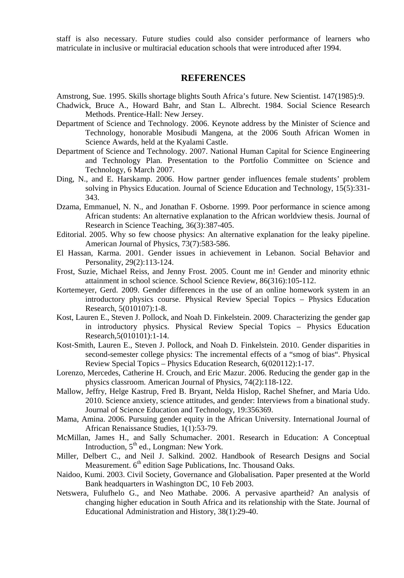staff is also necessary. Future studies could also consider performance of learners who matriculate in inclusive or multiracial education schools that were introduced after 1994.

#### **REFERENCES**

Amstrong, Sue. 1995. Skills shortage blights South Africa's future. New Scientist. 147(1985):9.

- Chadwick, Bruce A., Howard Bahr, and Stan L. Albrecht. 1984. Social Science Research Methods. Prentice-Hall: New Jersey.
- Department of Science and Technology. 2006. Keynote address by the Minister of Science and Technology, honorable Mosibudi Mangena, at the 2006 South African Women in Science Awards, held at the Kyalami Castle.
- Department of Science and Technology. 2007. National Human Capital for Science Engineering and Technology Plan. Presentation to the Portfolio Committee on Science and Technology, 6 March 2007.
- Ding, N., and E. Harskamp. 2006. How partner gender influences female students' problem solving in Physics Education. Journal of Science Education and Technology, 15(5):331- 343.
- Dzama, Emmanuel, N. N., and Jonathan F. Osborne. 1999. Poor performance in science among African students: An alternative explanation to the African worldview thesis. Journal of Research in Science Teaching, 36(3):387-405.
- Editorial. 2005. Why so few choose physics: An alternative explanation for the leaky pipeline. American Journal of Physics, 73(7):583-586.
- El Hassan, Karma. 2001. Gender issues in achievement in Lebanon. Social Behavior and Personality, 29(2):113-124.
- Frost, Suzie, Michael Reiss, and Jenny Frost. 2005. Count me in! Gender and minority ethnic attainment in school science. School Science Review, 86(316):105-112.
- Kortemeyer, Gerd. 2009. Gender differences in the use of an online homework system in an introductory physics course. Physical Review Special Topics – Physics Education Research, 5(010107):1-8.
- Kost, Lauren E., Steven J. Pollock, and Noah D. Finkelstein. 2009. Characterizing the gender gap in introductory physics. Physical Review Special Topics – Physics Education Research,5(010101):1-14.
- Kost-Smith, Lauren E., Steven J. Pollock, and Noah D. Finkelstein. 2010. Gender disparities in second-semester college physics: The incremental effects of a "smog of bias". Physical Review Special Topics – Physics Education Research, 6(020112):1-17.
- Lorenzo, Mercedes, Catherine H. Crouch, and Eric Mazur. 2006. Reducing the gender gap in the physics classroom. American Journal of Physics, 74(2):118-122.
- Mallow, Jeffry, Helge Kastrup, Fred B. Bryant, Nelda Hislop, Rachel Shefner, and Maria Udo. 2010. Science anxiety, science attitudes, and gender: Interviews from a binational study. Journal of Science Education and Technology, 19:356369.
- Mama, Amina. 2006. Pursuing gender equity in the African University. International Journal of African Renaissance Studies, 1(1):53-79.
- McMillan, James H., and Sally Schumacher. 2001. Research in Education: A Conceptual Introduction, 5<sup>th</sup> ed., Longman: New York.
- Miller, Delbert C., and Neil J. Salkind. 2002. Handbook of Research Designs and Social Measurement.  $6<sup>th</sup>$  edition Sage Publications, Inc. Thousand Oaks.
- Naidoo, Kumi. 2003. Civil Society, Governance and Globalisation. Paper presented at the World Bank headquarters in Washington DC, 10 Feb 2003.
- Netswera, Fulufhelo G., and Neo Mathabe. 2006. A pervasive apartheid? An analysis of changing higher education in South Africa and its relationship with the State. Journal of Educational Administration and History, 38(1):29-40.